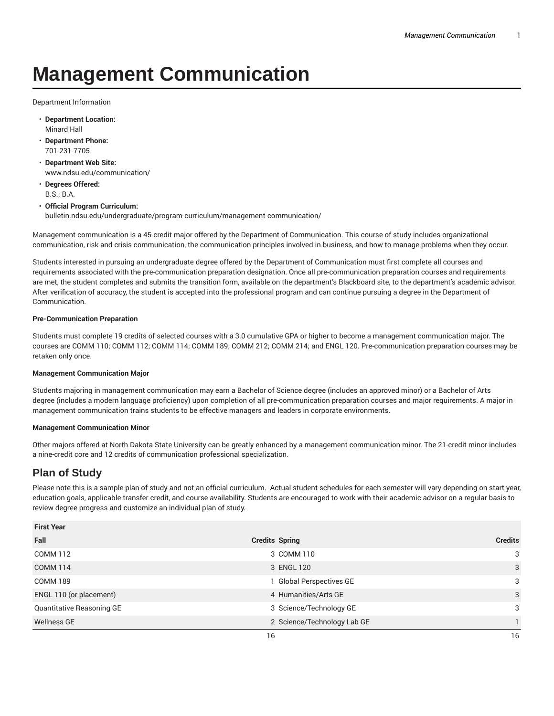# **Management Communication**

Department Information

- **Department Location:** Minard Hall
- **Department Phone:** 701-231-7705
- **Department Web Site:** www.ndsu.edu/communication/
- **Degrees Offered:** B.S.; B.A.
- **Official Program Curriculum:** bulletin.ndsu.edu/undergraduate/program-curriculum/management-communication/

Management communication is a 45-credit major offered by the Department of Communication. This course of study includes organizational communication, risk and crisis communication, the communication principles involved in business, and how to manage problems when they occur.

Students interested in pursuing an undergraduate degree offered by the Department of Communication must first complete all courses and requirements associated with the pre-communication preparation designation. Once all pre-communication preparation courses and requirements are met, the student completes and submits the transition form, available on the department's Blackboard site, to the department's academic advisor. After verification of accuracy, the student is accepted into the professional program and can continue pursuing a degree in the Department of Communication.

#### **Pre-Communication Preparation**

Students must complete 19 credits of selected courses with a 3.0 cumulative GPA or higher to become a management communication major. The courses are COMM 110; COMM 112; COMM 114; COMM 189; COMM 212; COMM 214; and ENGL 120. Pre-communication preparation courses may be retaken only once.

#### **Management Communication Major**

Students majoring in management communication may earn a Bachelor of Science degree (includes an approved minor) or a Bachelor of Arts degree (includes a modern language proficiency) upon completion of all pre-communication preparation courses and major requirements. A major in management communication trains students to be effective managers and leaders in corporate environments.

#### **Management Communication Minor**

Other majors offered at North Dakota State University can be greatly enhanced by a management communication minor. The 21-credit minor includes a nine-credit core and 12 credits of communication professional specialization.

## **Plan of Study**

Please note this is a sample plan of study and not an official curriculum. Actual student schedules for each semester will vary depending on start year, education goals, applicable transfer credit, and course availability. Students are encouraged to work with their academic advisor on a regular basis to review degree progress and customize an individual plan of study.

| <b>First Year</b>         |                             |                |
|---------------------------|-----------------------------|----------------|
| Fall                      | <b>Credits Spring</b>       | <b>Credits</b> |
| <b>COMM 112</b>           | 3 COMM 110                  | 3              |
| <b>COMM 114</b>           | 3 ENGL 120                  | 3              |
| <b>COMM 189</b>           | 1 Global Perspectives GE    | 3              |
| ENGL 110 (or placement)   | 4 Humanities/Arts GE        | 3              |
| Quantitative Reasoning GE | 3 Science/Technology GE     | 3              |
| <b>Wellness GE</b>        | 2 Science/Technology Lab GE |                |
|                           | 16                          | 16             |